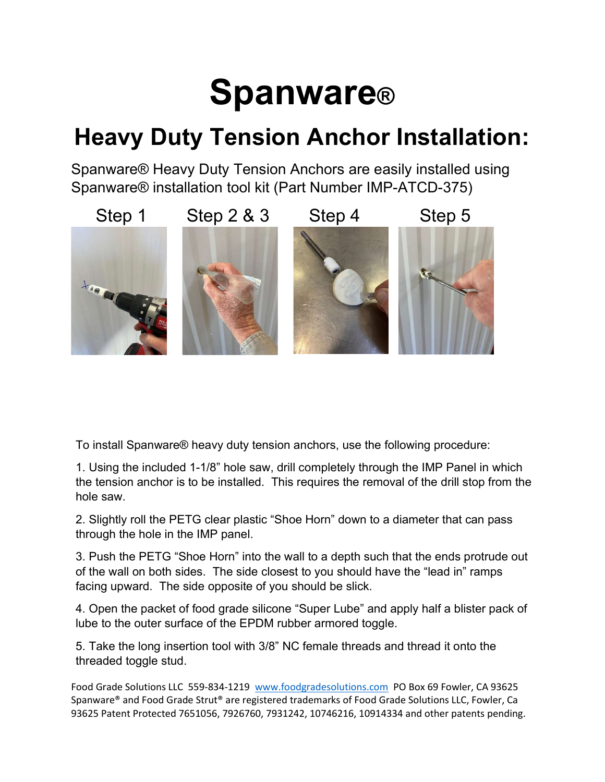### **Spanware®**

#### Heavy Duty Tension Anchor Installation:

Spanware® Heavy Duty Tension Anchors are easily installed using Spanware® installation tool kit (Part Number IMP-ATCD-375)



To install Spanware® heavy duty tension anchors, use the following procedure:

1. Using the included 1-1/8" hole saw, drill completely through the IMP Panel in which the tension anchor is to be installed. This requires the removal of the drill stop from the hole saw.

2. Slightly roll the PETG clear plastic "Shoe Horn" down to a diameter that can pass through the hole in the IMP panel.

3. Push the PETG "Shoe Horn" into the wall to a depth such that the ends protrude out of the wall on both sides. The side closest to you should have the "lead in" ramps facing upward. The side opposite of you should be slick.

4. Open the packet of food grade silicone "Super Lube" and apply half a blister pack of lube to the outer surface of the EPDM rubber armored toggle.

5. Take the long insertion tool with 3/8" NC female threads and thread it onto the threaded toggle stud.

Food Grade Solutions LLC 559-834-1219 www.foodgradesolutions.com PO Box 69 Fowler, CA 93625 Spanware® and Food Grade Strut® are registered trademarks of Food Grade Solutions LLC, Fowler, Ca 93625 Patent Protected 7651056, 7926760, 7931242, 10746216, 10914334 and other patents pending.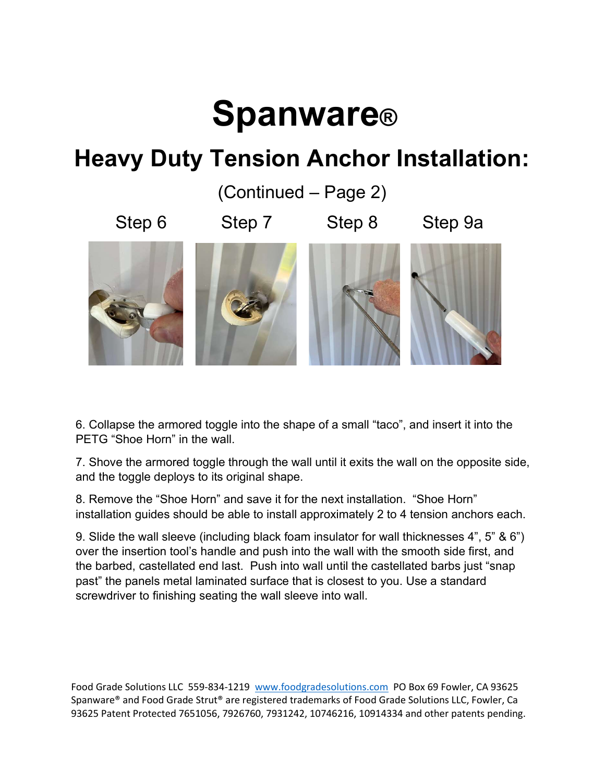# **Spanware®**

### Heavy Duty Tension Anchor Installation:

(Continued – Page 2)

Step 6 Step 7 Step 8 Step 9a



6. Collapse the armored toggle into the shape of a small "taco", and insert it into the PETG "Shoe Horn" in the wall.

7. Shove the armored toggle through the wall until it exits the wall on the opposite side, and the toggle deploys to its original shape.

8. Remove the "Shoe Horn" and save it for the next installation. "Shoe Horn" installation guides should be able to install approximately 2 to 4 tension anchors each.

9. Slide the wall sleeve (including black foam insulator for wall thicknesses 4", 5" & 6") over the insertion tool's handle and push into the wall with the smooth side first, and the barbed, castellated end last. Push into wall until the castellated barbs just "snap past" the panels metal laminated surface that is closest to you. Use a standard screwdriver to finishing seating the wall sleeve into wall.

Food Grade Solutions LLC 559-834-1219 www.foodgradesolutions.com PO Box 69 Fowler, CA 93625 Spanware® and Food Grade Strut® are registered trademarks of Food Grade Solutions LLC, Fowler, Ca 93625 Patent Protected 7651056, 7926760, 7931242, 10746216, 10914334 and other patents pending.